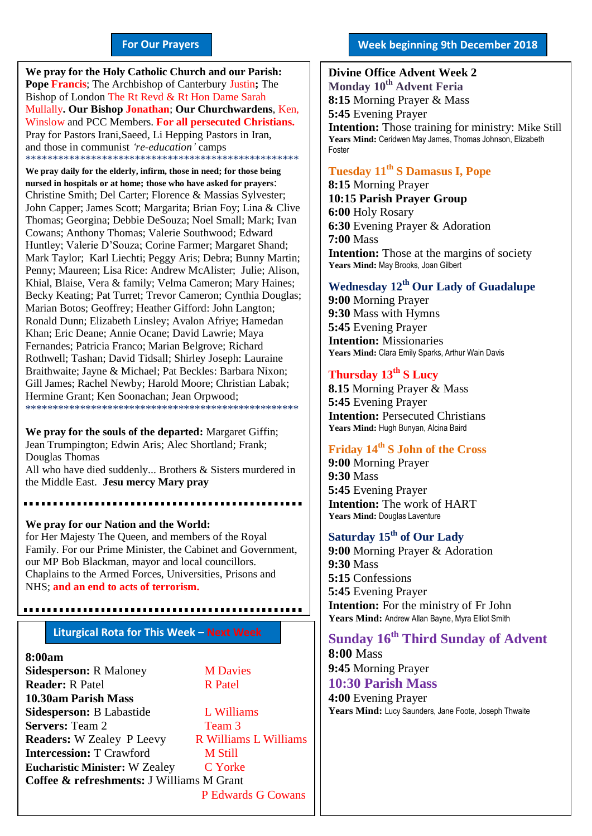#### **For Our Prayers**

arted Mullally**. Our Bishop Jonathan**; **Our Churchwardens**, Ken, **We pray for the Holy Catholic Church and our Parish: Pope Francis**; The Archbishop of Canterbury Justin**;** The Bishop of London The Rt Revd & Rt Hon Dame Sarah Winslow and PCC Members. **For all persecuted Christians.** Pray for Pastors Irani,Saeed, Li Hepping Pastors in Iran, and those in communist *'re-education'* camps \*\*\*\*\*\*\*\*\*\*\*\*\*\*\*\*\*\*\*\*\*\*\*\*\*\*\*\*\*\*\*\*\*\*\*\*\*\*\*\*\*\*\*\*\*\*\*\*\*\*

**We pray daily for the elderly, infirm, those in need; for those being nursed in hospitals or at home; those who have asked for prayers**: Christine Smith; Del Carter; Florence & Massias Sylvester; John Capper; James Scott; Margarita; Brian Foy; Lina & Clive Thomas; Georgina; Debbie DeSouza; Noel Small; Mark; Ivan Cowans; Anthony Thomas; Valerie Southwood; Edward Huntley; Valerie D'Souza; Corine Farmer; Margaret Shand; Mark Taylor; Karl Liechti; Peggy Aris; Debra; Bunny Martin; Penny; Maureen; Lisa Rice: Andrew McAlister; Julie; Alison, Khial, Blaise, Vera & family; Velma Cameron; Mary Haines; Becky Keating; Pat Turret; Trevor Cameron; Cynthia Douglas; Marian Botos; Geoffrey; Heather Gifford: John Langton; Ronald Dunn; Elizabeth Linsley; Avalon Afriye; Hamedan Khan; Eric Deane; Annie Ocane; David Lawrie; Maya Fernandes; Patricia Franco; Marian Belgrove; Richard Rothwell; Tashan; David Tidsall; Shirley Joseph: Lauraine Braithwaite; Jayne & Michael; Pat Beckles: Barbara Nixon; Gill James; Rachel Newby; Harold Moore; Christian Labak; Hermine Grant; Ken Soonachan; Jean Orpwood; \*\*\*\*\*\*\*\*\*\*\*\*\*\*\*\*\*\*\*\*\*\*\*\*\*\*\*\*\*\*\*\*\*\*\*\*\*\*\*\*\*\*\*\*\*\*\*\*\*\*

**We pray for the souls of the departed:** Margaret Giffin; Jean Trumpington; Edwin Aris; Alec Shortland; Frank; Douglas Thomas All who have died suddenly... Brothers & Sisters murdered in

the Middle East. **Jesu mercy Mary pray**

**We pray for our Nation and the World:** for Her Majesty The Queen, and members of the Royal Family. For our Prime Minister, the Cabinet and Government, our MP Bob Blackman, mayor and local councillors. Chaplains to the Armed Forces, Universities, Prisons and NHS; **and an end to acts of terrorism.**

## **Liturgical Rota for This Week – Next Week**

#### **8:00am**

**Sidesperson:** R Maloney **M Davies Reader:** R Patel R Patel **10.30am Parish Mass Sidesperson:** B Labastide L Williams **Servers:** Team 2 Team 3 **Readers:** W Zealey P Leevy R Williams L Williams **Intercession:** T Crawford **M Still Eucharistic Minister:** W Zealey C Yorke **Coffee & refreshments:** J Williams M Grant P Edwards G Cowans

#### **Week beginning 9th December 2018**

**Divine Office Advent Week 2 Monday 10th Advent Feria 8:15** Morning Prayer & Mass **5:45** Evening Prayer **Intention:** Those training for ministry: Mike Still **Years Mind:** Ceridwen May James, Thomas Johnson, Elizabeth Foster

#### **Tuesday 11th S Damasus I, Pope**

**8:15** Morning Prayer **10:15 Parish Prayer Group 6:00** Holy Rosary **6:30** Evening Prayer & Adoration **7:00** Mass **Intention:** Those at the margins of society Years Mind: May Brooks, Joan Gilbert

#### **Wednesday 12th Our Lady of Guadalupe**

**9:00** Morning Prayer **9:30** Mass with Hymns **5:45** Evening Prayer **Intention:** Missionaries **Years Mind:** Clara Emily Sparks, Arthur Wain Davis

#### **Thursday 13th S Lucy**

**8.15** Morning Prayer & Mass **5:45** Evening Prayer **Intention:** Persecuted Christians **Years Mind:** Hugh Bunyan, Alcina Baird

#### **Friday 14th S John of the Cross**

**9:00** Morning Prayer **9:30** Mass **5:45** Evening Prayer **Intention:** The work of HART **Years Mind:** Douglas Laventure

## **Saturday 15th of Our Lady**

**9:00** Morning Prayer & Adoration **9:30** Mass **5:15** Confessions **5:45** Evening Prayer **Intention:** For the ministry of Fr John **Years Mind:** Andrew Allan Bayne, Myra Elliot Smith

**Sunday 16th Third Sunday of Advent 8:00** Mass **9:45** Morning Prayer **10:30 Parish Mass** 

**4:00** Evening Prayer Years Mind: Lucy Saunders, Jane Foote, Joseph Thwaite